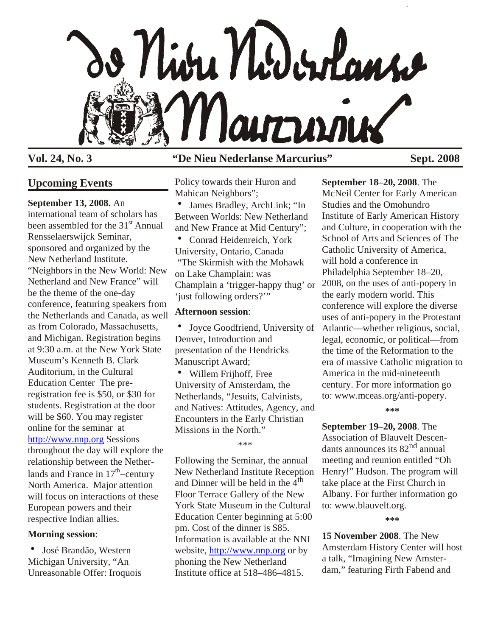

# **Upcoming Events**

**September 13, 2008.** An

international team of scholars has been assembled for the 31<sup>st</sup> Annual Rensselaerswijck Seminar, sponsored and organized by the New Netherland Institute. "Neighbors in the New World: New Netherland and New France" will be the theme of the one-day conference, featuring speakers from the Netherlands and Canada, as well as from Colorado, Massachusetts, and Michigan. Registration begins at 9:30 a.m. at the New York State Museum's Kenneth B. Clark Auditorium, in the Cultural Education Center The preregistration fee is \$50, or \$30 for students. Registration at the door will be \$60. You may register online for the seminar at [http://www.nnp.org](http://www.nnp.org/) Sessions throughout the day will explore the relationship between the Netherlands and France in  $17<sup>th</sup>$  century North America. Major attention will focus on interactions of these European powers and their respective Indian allies.

# **Morning session**:

• José Brandão, Western Michigan University, "An Unreasonable Offer: Iroquois

# **Vol. 24, No. 3 "De Nieu Nederlanse Marcurius" Sept. 2008**

Policy towards their Huron and Mahican Neighbors";

- James Bradley, ArchLink; "In Between Worlds: New Netherland and New France at Mid Century";
- Conrad Heidenreich, York University, Ontario, Canada "The Skirmish with the Mohawk on Lake Champlain: was Champlain a 'trigger-happy thug' or 'just following orders?'"

# **Afternoon session**:

• Joyce Goodfriend, University of Denver, Introduction and presentation of the Hendricks Manuscript Award;

• Willem Frijhoff, Free University of Amsterdam, the Netherlands, "Jesuits, Calvinists, and Natives: Attitudes, Agency, and Encounters in the Early Christian Missions in the North."

\*\*\*

Following the Seminar, the annual New Netherland Institute Reception and Dinner will be held in the  $4<sup>th</sup>$ Floor Terrace Gallery of the New York State Museum in the Cultural Education Center beginning at 5:00 pm. Cost of the dinner is \$85. Information is available at the NNI website,<http://www.nnp.org> or by phoning the New Netherland Institute office at 518–486–4815.

**September 18–20, 2008**. The [McNeil Center for Early American](http://www.mceas.org) [Studies](http://www.mceas.org) and the [Omohundro](http://oieahc.wm.edu/) [Institute of Early American History](http://oieahc.wm.edu/) [and Culture](http://oieahc.wm.edu/), in cooperation with the School of Arts and Sciences of The Catholic University of America, will hold a conference in Philadelphia September 18–20, 2008, on the uses of anti-popery in the early modern world. This conference will explore the diverse uses of anti-popery in the Protestant Atlantic—whether religious, social, legal, economic, or political—from the time of the Reformation to the era of massive Catholic migration to America in the mid-nineteenth century. For more information go to: www.mceas.org/anti-popery.

**\*\*\***

**September 19–20, 2008**. The Association of Blauvelt Descendants announces its 82nd annual meeting and reunion entitled "Oh Henry!" Hudson. The program will take place at the First Church in Albany. For further information go to: www.blauvelt.org.

**\*\*\***

**15 November 2008**. The New Amsterdam History Center will host a talk, "Imagining New Amsterdam," featuring Firth Fabend and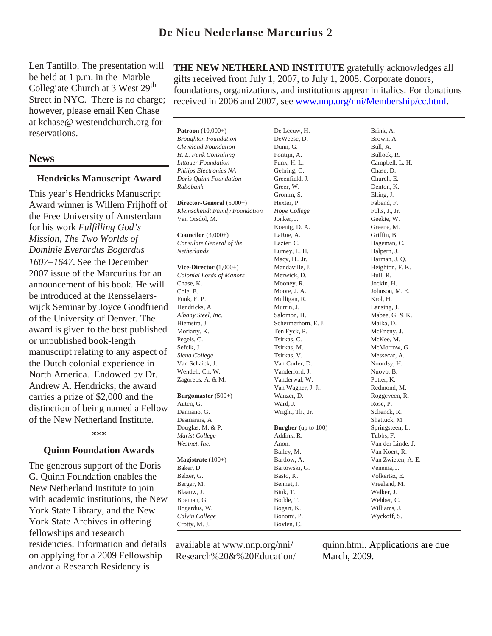# **De Nieu Nederlanse Marcurius** 2

Len Tantillo. The presentation will be held at 1 p.m. in the Marble Collegiate Church at 3 West 29<sup>th</sup> Street in NYC. There is no charge; however, please email Ken Chase at kchase@ westendchurch.org for reservations.

# **News**

### **Hendricks Manuscript Award**

This year's Hendricks Manuscript Award winner is Willem Frijhoff of the Free University of Amsterdam for his work *Fulfilling God's Mission, The Two Worlds of Dominie Everardus Bogardus 1607 1647*. See the December 2007 issue of the Marcurius for an announcement of his book. He will be introduced at the Rensselaerswijck Seminar by Joyce Goodfriend of the University of Denver. The award is given to the best published or unpublished book-length manuscript relating to any aspect of the Dutch colonial experience in North America. Endowed by Dr. Andrew A. Hendricks, the award carries a prize of \$2,000 and the distinction of being named a Fellow of the New Netherland Institute.

\*\*\*

## **Quinn Foundation Awards**

The generous support of the Doris G. Quinn Foundation enables the New Netherland Institute to join with academic institutions, the New York State Library, and the New York State Archives in offering fellowships and research residencies. Information and details on applying for a 2009 Fellowship and/or a Research Residency is

**THE NEW NETHERLAND INSTITUTE** gratefully acknowledges all gifts received from July 1, 2007, to July 1, 2008. Corporate donors, foundations, organizations, and institutions appear in italics. For donations received in 2006 and 2007, see [www.nnp.org/nni/Membership/cc.html](http://www.nnp.org/nni/Membership/cc.html).

**Patroon** (10,000+) *Broughton Foundation Cleveland Foundation H. L. Funk Consulting Littauer Foundation Philips Electronics NA Doris Quinn Foundation Rabobank* **Director-General** (5000+) *Kleinschmidt Family Foundation* Van Orsdol, M. **Councilor** (3,000+) *Consulate General of the Netherlands* **Vice-Director (**1,000+) *Colonial Lords of Manors* Chase, K. Cole, B. Funk, E. P. Hendricks, A. *Albany Steel, Inc.* Hiemstra, J. Moriarty, K. Pegels, C. Sefcik, J. *Siena College* Van Schaick, J. Wendell, Ch. W. Zagoreos, A. & M. **Burgomaster** (500+) Auten, G. Damiano, G. Desmarais, A Douglas, M. & P. *Marist College Westnet, Inc.* **Magistrate** (100+) Baker, D. Belzer, G. Berger, M. Blaauw, J. Boeman, G. Bogardus, W. *Calvin College* Crotty, M. J. De Leeuw, H. DeWeese, D. Dunn, G. Fontijn, A. Funk, H. L. Gehring, C. Greenfield, J. Greer, W. Gronim, S. Hexter, P. *Hope College* Jonker, J. Koenig, D. A. LaRue, A. Lazier, C. Lumey, L. H. Macy, H., Jr. Mandaville, J. Merwick, D. Mooney, R. Moore, J. A. Mulligan, R. Murrin, J. Salomon, H. Schermerhorn, E. J. Ten Eyck, P. Tsirkas, C. Tsirkas, M. Tsirkas, V. Van Curler, D. Vanderford, J. Vanderwal, W. Van Wagner, J. Jr. Wanzer, D. Ward, J. Wright, Th., Jr. **Burgher** (up to 100) Addink, R. Anon. Bailey, M. Bartlow, A. Bartowski, G. Basto, K. Bennet, J. Bink, T. Bodde, T. Bogart, K. Bonomi. P. Boylen, C.

Brown, A. Bull, A. Bullock, R. Campbell, L. H. Chase, D. Church, E. Denton, K. Elting, J. Fabend, F. Folts, J., Jr. Geekie, W. Greene, M. Griffin, B. Hageman, C. Halpern, J. Harman, J. Q. Heighton, F. K. Hull, R. Jockin, H. Johnson, M. E. Krol, H. Lansing, J. Mabee, G. & K. Maika, D. McEneny, J. McKee, M. McMorrow, G. Messecar, A. Noordsy, H. Nuovo, B. Potter, K. Redmond, M. Roggeveen, R. Rose, P. Schenck, R. Shattuck, M. Springsteen, L. Tubbs, F. Van der Linde, J. Van Koert, R. Van Zwieten, A. E. Venema, J. Volkertsz, E. Vreeland, M. Walker, J. Webber, C. Williams, J. Wyckoff, S.

Brink, A.

available at www.nnp.org/nni/ Research%20&%20Education/

quinn.html. Applications are due March, 2009.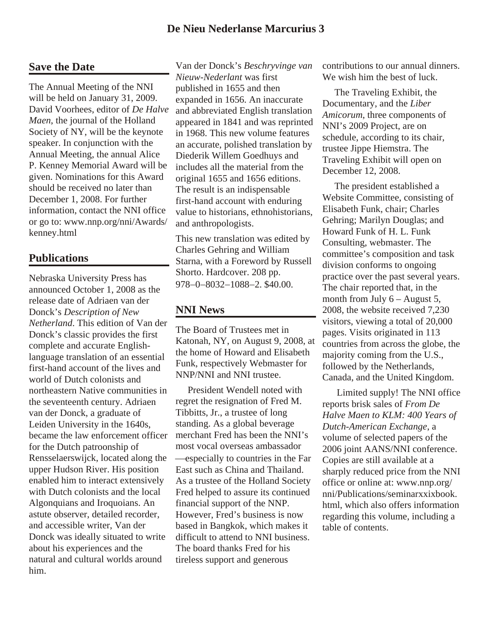# **De Nieu Nederlanse Marcurius 3**

# **Save the Date**

The Annual Meeting of the NNI will be held on January 31, 2009. David Voorhees, editor of *De Halve Maen*, the journal of the Holland Society of NY, will be the keynote speaker. In conjunction with the Annual Meeting, the annual Alice P. Kenney Memorial Award will be given. Nominations for this Award should be received no later than December 1, 2008. For further information, contact the NNI office or go to: www.nnp.org/nni/Awards/ kenney.html

# **Publications**

Nebraska University Press has announced October 1, 2008 as the release date of Adriaen van der Donck's *Description of New Netherland*. This edition of Van der Donck's classic provides the first complete and accurate Englishlanguage translation of an essential first-hand account of the lives and world of Dutch colonists and northeastern Native communities in the seventeenth century. Adriaen van der Donck, a graduate of Leiden University in the 1640s, became the law enforcement officer for the Dutch patroonship of Rensselaerswijck, located along the upper Hudson River. His position enabled him to interact extensively with Dutch colonists and the local Algonquians and Iroquoians. An astute observer, detailed recorder, and accessible writer, Van der Donck was ideally situated to write about his experiences and the natural and cultural worlds around him.

Van der Donck's *Beschryvinge van Nieuw-Nederlant* was first published in 1655 and then expanded in 1656. An inaccurate and abbreviated English translation appeared in 1841 and was reprinted in 1968. This new volume features an accurate, polished translation by Diederik Willem Goedhuys and includes all the material from the original 1655 and 1656 editions. The result is an indispensable first-hand account with enduring value to historians, ethnohistorians, and anthropologists.

This new translation was edited by Charles Gehring and William Starna, with a Foreword by Russell Shorto. Hardcover. 208 pp. 978 0 8032 1088 2. \$40.00.

## **NNI News**

The Board of Trustees met in Katonah, NY, on August 9, 2008, at the home of Howard and Elisabeth Funk, respectively Webmaster for NNP/NNI and NNI trustee.

 President Wendell noted with regret the resignation of Fred M. Tibbitts, Jr., a trustee of long standing. As a global beverage merchant Fred has been the NNI's most vocal overseas ambassador

especially to countries in the Far East such as China and Thailand. As a trustee of the Holland Society Fred helped to assure its continued financial support of the NNP. However, Fred's business is now based in Bangkok, which makes it difficult to attend to NNI business. The board thanks Fred for his tireless support and generous

contributions to our annual dinners. We wish him the best of luck.

 The Traveling Exhibit, the Documentary, and the *Liber Amicorum*, three components of NNI's 2009 Project, are on schedule, according to its chair, trustee Jippe Hiemstra. The Traveling Exhibit will open on December 12, 2008.

 The president established a Website Committee, consisting of Elisabeth Funk, chair; Charles Gehring; Marilyn Douglas; and Howard Funk of H. L. Funk Consulting, webmaster. The committee's composition and task division conforms to ongoing practice over the past several years. The chair reported that, in the month from July  $6 -$ August 5, 2008, the website received 7,230 visitors, viewing a total of 20,000 pages. Visits originated in 113 countries from across the globe, the majority coming from the U.S., followed by the Netherlands, Canada, and the United Kingdom.

 Limited supply! The NNI office reports brisk sales of *From De Halve Maen to KLM: 400 Years of Dutch-American Exchange*, a volume of selected papers of the 2006 joint AANS/NNI conference. Copies are still available at a sharply reduced price from the NNI office or online at: www.nnp.org/ nni/Publications/seminarxxixbook. html, which also offers information regarding this volume, including a table of contents.